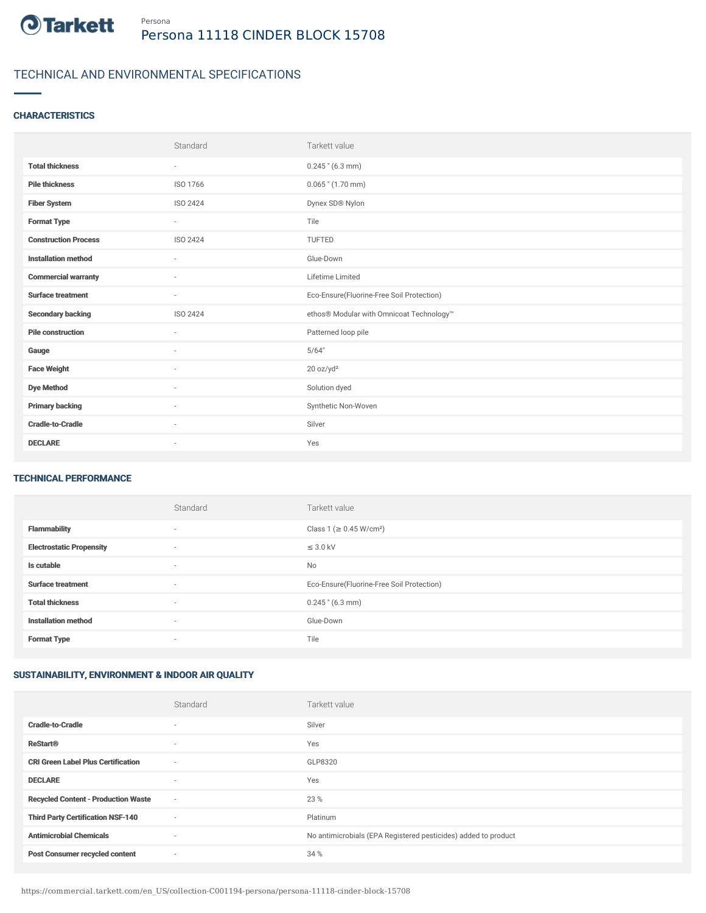

# TECHNICAL AND ENVIRONMENTAL SPECIFICATIONS

### **CHARACTERISTICS**

|                             | Standard                 | Tarkett value                             |
|-----------------------------|--------------------------|-------------------------------------------|
| <b>Total thickness</b>      | $\overline{\phantom{a}}$ | $0.245$ " (6.3 mm)                        |
| <b>Pile thickness</b>       | ISO 1766                 | $0.065$ " $(1.70$ mm)                     |
| <b>Fiber System</b>         | ISO 2424                 | Dynex SD® Nylon                           |
| <b>Format Type</b>          | $\sim$                   | Tile                                      |
| <b>Construction Process</b> | ISO 2424                 | <b>TUFTED</b>                             |
| <b>Installation method</b>  | $\sim$                   | Glue-Down                                 |
| <b>Commercial warranty</b>  | ٠                        | Lifetime Limited                          |
| <b>Surface treatment</b>    | $\sim$                   | Eco-Ensure(Fluorine-Free Soil Protection) |
| <b>Secondary backing</b>    | <b>ISO 2424</b>          | ethos® Modular with Omnicoat Technology™  |
| <b>Pile construction</b>    | $\overline{\phantom{a}}$ | Patterned loop pile                       |
| Gauge                       | $\sim$                   | 5/64"                                     |
| <b>Face Weight</b>          | $\overline{\phantom{a}}$ | 20 oz/yd <sup>2</sup>                     |
| <b>Dye Method</b>           | $\sim$                   | Solution dyed                             |
| <b>Primary backing</b>      | $\sim$                   | Synthetic Non-Woven                       |
| <b>Cradle-to-Cradle</b>     | $\overline{\phantom{a}}$ | Silver                                    |
| <b>DECLARE</b>              | ٠                        | Yes                                       |

#### TECHNICAL PERFORMANCE

|                                 | Standard | Tarkett value                             |
|---------------------------------|----------|-------------------------------------------|
| <b>Flammability</b>             | $\sim$   | Class 1 (≥ 0.45 W/cm <sup>2</sup> )       |
| <b>Electrostatic Propensity</b> | ٠        | $\leq$ 3.0 kV                             |
| Is cutable                      | $\sim$   | No                                        |
| <b>Surface treatment</b>        | $\sim$   | Eco-Ensure(Fluorine-Free Soil Protection) |
| <b>Total thickness</b>          | $\sim$   | $0.245$ " (6.3 mm)                        |
| <b>Installation method</b>      | $\sim$   | Glue-Down                                 |
| <b>Format Type</b>              | ٠        | Tile                                      |

## SUSTAINABILITY, ENVIRONMENT & INDOOR AIR QUALITY

|                                            | Standard                 | Tarkett value                                                  |
|--------------------------------------------|--------------------------|----------------------------------------------------------------|
| <b>Cradle-to-Cradle</b>                    |                          | Silver                                                         |
| <b>ReStart®</b>                            | $\overline{\phantom{a}}$ | Yes                                                            |
| <b>CRI Green Label Plus Certification</b>  | $\overline{\phantom{a}}$ | GLP8320                                                        |
| <b>DECLARE</b>                             | $\overline{\phantom{a}}$ | Yes                                                            |
| <b>Recycled Content - Production Waste</b> | $\sim$                   | 23 %                                                           |
| <b>Third Party Certification NSF-140</b>   | $\overline{\phantom{a}}$ | Platinum                                                       |
| <b>Antimicrobial Chemicals</b>             | $\overline{\phantom{a}}$ | No antimicrobials (EPA Registered pesticides) added to product |
| <b>Post Consumer recycled content</b>      | $\overline{\phantom{a}}$ | 34 %                                                           |